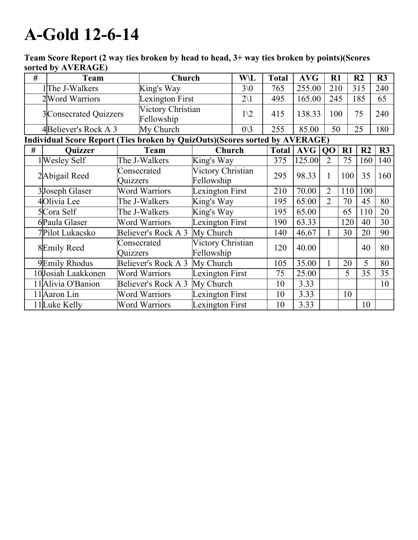## A-Gold 12-6-14

| # | <b>Team</b>                                                                 |                         | Church                          | <b>W\L</b>                      |                | <b>Total</b> | <b>AVG</b> | R1             |     | R <sub>2</sub> | R3  |
|---|-----------------------------------------------------------------------------|-------------------------|---------------------------------|---------------------------------|----------------|--------------|------------|----------------|-----|----------------|-----|
|   | 1The J-Walkers                                                              |                         | King's Way                      |                                 | $3\sqrt{0}$    | 765          | 255.00     | 210            |     | 315            | 240 |
|   | 2 Word Warriors                                                             |                         |                                 | Lexington First                 | $2\backslash1$ | 495          | 165.00     | 245            |     | 185            | 65  |
|   | 3Consecrated Quizzers                                                       |                         | Victory Christian<br>Fellowship |                                 | $1\sqrt{2}$    | 415          | 138.33     | 100            |     | 75             | 240 |
|   | 4Believer's Rock A 3                                                        |                         | My Church                       | $0\backslash 3$                 |                | 255          | 85.00      | 50             |     | 25             | 180 |
|   | Individual Score Report (Ties broken by QuizOuts)(Scores sorted by AVERAGE) |                         |                                 |                                 |                |              |            |                |     |                |     |
| # | <b>Ouizzer</b>                                                              |                         | Team                            | Church                          |                | <b>Total</b> | AVG        | Q <sub>O</sub> | R1  | R <sub>2</sub> | R3  |
|   | l Wesley Self                                                               |                         | The J-Walkers                   | King's Way                      |                | 375          | 125.00     | $\overline{2}$ | 75  | 160            | 140 |
|   | 2Abigail Reed                                                               | Consecrated<br>Quizzers |                                 | Victory Christian<br>Fellowship |                | 295          | 98.33      | 1              | 100 | 35             | 160 |
|   | 3Joseph Glaser                                                              | <b>Word Warriors</b>    |                                 | Lexington First                 |                | 210          | 70.00      | $\overline{2}$ | 110 | 100            |     |
|   | 4Olivia Lee                                                                 |                         | The J-Walkers                   | King's Way                      |                | 195          | 65.00      | $\overline{2}$ | 70  | 45             | 80  |
|   | 5Cora Self                                                                  | The J-Walkers           |                                 | King's Way                      |                | 195          | 65.00      |                | 65  | 110            | 20  |
|   | 6Paula Glaser                                                               | <b>Word Warriors</b>    |                                 | Lexington First                 |                | 190          | 63.33      |                | 120 | 40             | 30  |
|   | 7Pilot Lukacsko                                                             | Believer's Rock A 3     |                                 | My Church                       |                | 140          | 46.67      |                | 30  | 20             | 90  |
|   | 8Emily Reed                                                                 | Consecrated<br>Quizzers |                                 | Victory Christian<br>Fellowship |                | 120          | 40.00      |                |     | 40             | 80  |
|   | 9Emily Rhodus                                                               | Believer's Rock A 3     |                                 | My Church                       |                | 105          | 35.00      |                | 20  | 5              | 80  |
|   | 10Josiah Laakkonen                                                          | <b>Word Warriors</b>    |                                 | Lexington First                 |                | 75           | 25.00      |                | 5   | 35             | 35  |
|   | 11Alivia O'Banion                                                           | Believer's Rock A 3     |                                 | My Church                       |                | 10           | 3.33       |                |     |                | 10  |
|   | 11 Aaron Lin                                                                |                         | <b>Word Warriors</b>            | Lexington First                 |                | 10           | 3.33       |                | 10  |                |     |
|   | 11 Luke Kelly                                                               |                         | <b>Word Warriors</b>            | Lexington First                 |                | 10           | 3.33       |                |     | 10             |     |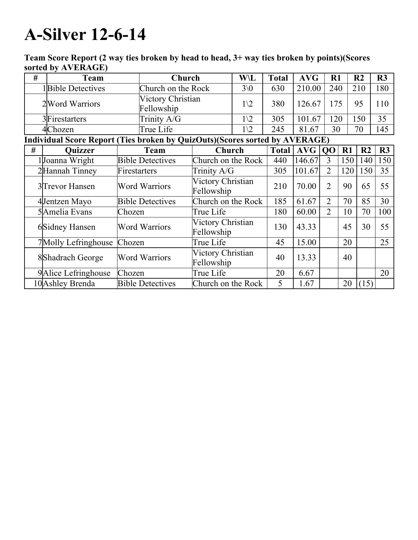## **A-Silver 12-6-14**

| # | <b>Team</b>                                                                 |                         | Church                          |                                 | W\L             | <b>Total</b> | <b>AVG</b> | R1             |     | R <sub>2</sub> | R3  |
|---|-----------------------------------------------------------------------------|-------------------------|---------------------------------|---------------------------------|-----------------|--------------|------------|----------------|-----|----------------|-----|
|   | 1Bible Detectives                                                           | Church on the Rock      |                                 |                                 | $3\sqrt{0}$     |              | 210.00     | 240            |     | 210            | 180 |
|   | 2 Word Warriors                                                             |                         | Victory Christian<br>Fellowship |                                 | $1\sqrt{2}$     | 380          | 126.67     | 175            |     | 95             | 110 |
|   | 3Firestarters                                                               |                         | Trinity A/G                     |                                 | $1\backslash 2$ | 305          | 101.67     | 120            |     | 150            | 35  |
|   | 4Chozen                                                                     |                         | True Life                       |                                 | $1\sqrt{2}$     | 245          | 81.67      | 30             |     | 70             | 145 |
|   | Individual Score Report (Ties broken by QuizOuts)(Scores sorted by AVERAGE) |                         |                                 |                                 |                 |              |            |                |     |                |     |
| # | <b>Quizzer</b>                                                              | <b>Team</b>             |                                 | Church                          |                 | <b>Total</b> | <b>AVG</b> | QO             | R1  | R <sub>2</sub> | R3  |
|   | Joanna Wright                                                               | <b>Bible Detectives</b> |                                 | Church on the Rock              |                 | 440          | 146.67     | 3              | 150 | 140            | 150 |
|   | 2Hannah Tinney                                                              | Firestarters            |                                 | Trinity A/G                     |                 | 305          | 101.67     | $\overline{2}$ | 120 | 150            | 35  |
|   | 3 Trevor Hansen                                                             | <b>Word Warriors</b>    |                                 | Victory Christian<br>Fellowship |                 | 210          | 70.00      | $\overline{2}$ | 90  | 65             | 55  |
|   | 4Jentzen Mayo                                                               | <b>Bible Detectives</b> |                                 | Church on the Rock              |                 | 185          | 61.67      | $\overline{2}$ | 70  | 85             | 30  |
|   | 5Amelia Evans                                                               | Chozen                  |                                 | True Life                       |                 | 180          | 60.00      | $\overline{2}$ | 10  | 70             | 100 |
|   | 6Sidney Hansen                                                              | <b>Word Warriors</b>    |                                 | Victory Christian<br>Fellowship |                 | 130          | 43.33      |                | 45  | 30             | 55  |
|   | 7Molly Lefringhouse                                                         | Chozen                  |                                 | True Life                       |                 | 45           | 15.00      |                | 20  |                | 25  |
|   | 8 Shadrach George                                                           | <b>Word Warriors</b>    |                                 | Victory Christian<br>Fellowship |                 | 40           | 13.33      |                | 40  |                |     |
|   | 9 Alice Lefringhouse                                                        | Chozen                  |                                 | True Life                       |                 | 20           | 6.67       |                |     |                | 20  |
|   | 10 Ashley Brenda                                                            |                         | <b>Bible Detectives</b>         | Church on the Rock              |                 | 5            | 1.67       |                | 20  | (15)           |     |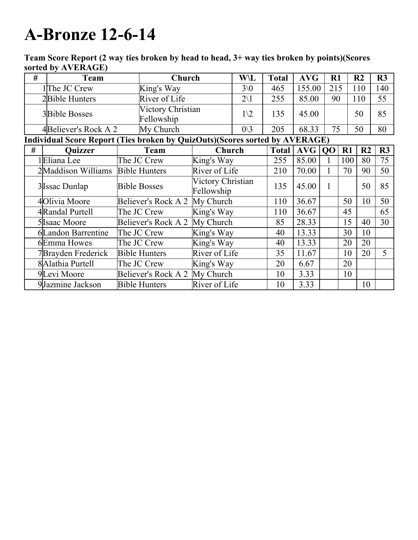## **A-Bronze 12-6-14**

| $\#$ | Team                                                                        |                      | Church                          |                                 | W\L             | <b>Total</b> | <b>AVG</b> | $\mathbf{R}1$  |     | R <sub>2</sub> | R3  |
|------|-----------------------------------------------------------------------------|----------------------|---------------------------------|---------------------------------|-----------------|--------------|------------|----------------|-----|----------------|-----|
|      | $1$ The JC Crew                                                             |                      | King's Way                      |                                 | $3\sqrt{0}$     | 465          | 155.00     | 215            |     | 110            | 140 |
|      | 2Bible Hunters                                                              |                      | River of Life                   |                                 | $2\backslash1$  | 255          | 85.00      | 90             |     | 110            | 55  |
|      | <b>3Bible Bosses</b>                                                        |                      | Victory Christian<br>Fellowship |                                 | $1\sqrt{2}$     | 135          | 45.00      |                |     | 50             | 85  |
|      | 4Believer's Rock A 2                                                        |                      | My Church                       |                                 | $0\backslash 3$ | 205          | 68.33      | 75             |     | 50             | 80  |
|      | Individual Score Report (Ties broken by QuizOuts)(Scores sorted by AVERAGE) |                      |                                 |                                 |                 |              |            |                |     |                |     |
| #    | <b>Quizzer</b>                                                              | <b>Team</b>          |                                 | Church                          |                 | <b>Total</b> | <b>AVG</b> | Q <sub>O</sub> | R1  | R <sub>2</sub> | R3  |
|      | 1 Eliana Lee                                                                |                      | The JC Crew                     | King's Way                      |                 | 255          | 85.00      |                | 100 | 80             | 75  |
|      | 2Maddison Williams                                                          | <b>Bible Hunters</b> |                                 | River of Life                   |                 | 210          | 70.00      |                | 70  | 90             | 50  |
|      | 3 Issac Dunlap                                                              | <b>Bible Bosses</b>  |                                 | Victory Christian<br>Fellowship |                 | 135          | 45.00      | 1              |     | 50             | 85  |
|      | 4Olivia Moore                                                               | Believer's Rock A 2  |                                 | My Church                       |                 | 110          | 36.67      |                | 50  | 10             | 50  |
|      | 4Randal Purtell                                                             | The JC Crew          |                                 | King's Way                      |                 | 110          | 36.67      |                | 45  |                | 65  |
|      | 5 Isaac Moore                                                               |                      | Believer's Rock A 2             | My Church                       |                 | 85           | 28.33      |                | 15  | 40             | 30  |
|      | 6Landon Barrentine                                                          | The JC Crew          |                                 | King's Way                      |                 | 40           | 13.33      |                | 30  | 10             |     |
|      | 6Emma Howes                                                                 | The JC Crew          |                                 | King's Way                      |                 | 40           | 13.33      |                | 20  | 20             |     |
|      | 7Brayden Frederick                                                          | <b>Bible Hunters</b> |                                 | River of Life                   |                 | 35           | 11.67      |                | 10  | 20             | 5   |
|      | 8Alathia Purtell                                                            | The JC Crew          |                                 | King's Way                      |                 | 20           | 6.67       |                | 20  |                |     |
|      | 9Levi Moore                                                                 | Believer's Rock A 2  |                                 | My Church                       |                 | 10           | 3.33       |                | 10  |                |     |
|      | 9Jazmine Jackson                                                            |                      | <b>Bible Hunters</b>            | River of Life                   |                 | 10           | 3.33       |                |     | 10             |     |